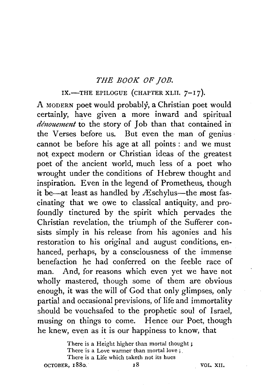## *THE BOOK OF JOB.*

## IX.-THE EPILOGUE (CHAPTER XLII. 7-17).

A MODERN poet would probably, a Christian poet would certainly, have given a more inward and spiritual *denouement* to the story of Job than that contained in the Verses before us. But even the man of genius cannot be before his age at all points : and we must not expect modern or Christian ideas of the greatest poet of the ancient world, much less of a poet who wrought under the conditions of Hebrew thought and inspiration. Even in the legend of Prometheus, though it be—at least as handled by  $AE$ schylus—the most fascinating that we owe to classical antiquity, and profoundly tinctured by the spirit which pervades the Christian revelation, the triumph of the Sufferer consists simply in his release from his agonies and his restoration to his original and august conditions, enhanced, perhaps, by a consciousness of the immense benefaction he had conferred on the feeble race of man. And, for reasons which even yet we have not wholly mastered, though some of them are obvious enough, it was the will of God that only glimpses, only partial and occasional previsions, of life and immortality should be vouchsafed to the prophetic soul of Israel, musing on things to come. Hence our Poet, though he knew, even as it is our happiness to know, that

There is a Height higher than mortal thought *;*  There is a Love warmer than mortal love ; There is a Life which taketh not its hues OCTOBER, 1880. 18 18 VOL. XII.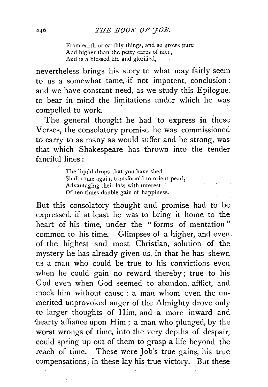From earth or earthly things, and so grows pure And higher than the petty cares of men, And is a blessed life and glorified,

nevertheless brings his story to what may fairly seem to us a somewhat tame, if not impotent, conclusion: and we have constant need, as we study this Epilogue, to bear in mind the limitations under which he was compelled to work.

The general thought he had to express in these Verses, the consolatory promise he was commissione& to carry to as many as would suffer and be strong, was that which Shakespeare has thrown into the tender fanciful lines : .

> The liquid drops that you have shed Shall come again, transform'd to orient pearl, Advantaging their loss with interest Of ten times double gain of happiness.

But this consolatory thought and promise had to be expressed, if at least he was to bring it home to the heart of his time, under the " forms of mentation " common to his time. Glimpses of a higher, and even. of the highest and most Christian, solution of the mystery he has already given us, in that he has shewn us a man who could be true to his convictions even when he could gain no reward thereby; true to his God even when God seemed to abandon, afflict, and mock him without cause : a man whom even the unmerited unprovoked anger of the Almighty drove only to larger thoughts of Him, and a more inward and  $\theta$  hearty affiance upon Him; a man who plunged, by the worst wrongs of time, into the very depths of despair, could spring up out of them to grasp a life beyond the reach of time. These were Job's true gains, his true compensations; in these lay his true victory. But these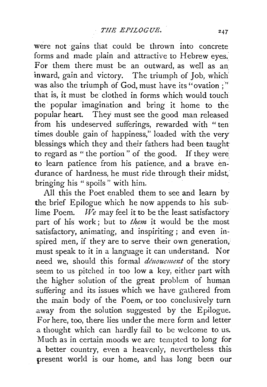were not gains that could be thrown into concrete forms and made plain and attractive to Hebrew eyes. For them there must be an outward, as well as an inward, gain and victory. The triumph of Job, which was also the triumph of God, must have its "ovation;" that is, it must be clothed in forms which would touch the popular imagination and bring it home to the popular heart. They must see the good man released from his undeserved sufferings, rewarded with "ten times double gain of happiness," loaded with the very blessings which they and their fathers had been taught to regard as " the portion" of the good. If they were to learn patience from his patience, and a brave endurance of hardness, he must ride through their midst, bringing his " spoils " with him.

All this the Poet enabled them to see and learn by the brief Epilogue which he now appends to his sublime Poem. *We* may feel it to be the least satisfactory part of his work; but to *them* it would be the most satisfactory, animating, and inspiriting; and even inspired men, if they are to serve their own generation, must speak to it in a language it can understand. Nor need we, should this formal *dénouement* of the story seem to us pitched in too low a key, either part with the higher solution of the great problem of human suffering and its issues which we have gathered from the main body of the Poem, or too conclusively turn .away from the solution suggested by the Epilogue. For here, too, there lies under the mere form and letter .a thought which can hardly fail to be welcome to us. Much a3 in certain moods we are tempted to long for a better country, even a heavenly, nevertheless this present world is our home, and has long been our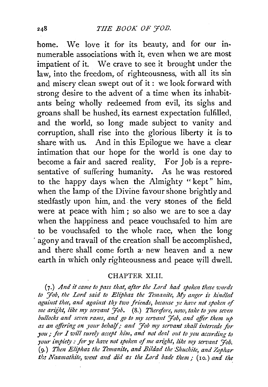home. We love it for its beauty, and for our innumerable associations with it, even when we are most impatient of it. We crave to see it brought under the law, into the freedom, of righteousness, with all its sin and misery clean swept out of it: we look forward with strong desire to the advent of a time when its inhabitants being wholly redeemed from evil, its sighs and groans shall be hushed, its earnest expectation fulfilled, and the world, so long made subject to vanity and corruption, shall rise into the glorious liberty it is to share with us. And in this Epilogue we have a clear intimation that our hope for the world is one day to become a fair and sacred reality. For Job is a representative of suffering humanity. As he was restored to the happy days when the Almighty "kept" him. when the lamp of the Divine favour shone brightly and stedfastly upon him, and. the very stones of the field were at peace with him; so also we are to see a day when the happiness and peace vouchsafed to him are to be vouchsafed to the whole race, when the long agony and travail of the creation shall be accomplished. and there shall come forth a· new heaven and a new earth in which only righteousness and peace will dwell.

## CHAPTER XLII.

(7.) *And it came to pass that, after the Lord had spoken these words*  to *Hob, the Lord said to Eliphaz the Temanite, My anger is kindled against thee, and against thy two friends, because ye have not spoken of me aright, like my servant Fob.* (8.) *Therefore, now, take to you seven bullocks and sez•en rams, and go to my servant Yob, and offer them up as an offering on your behalf/ and Yob my servant shall intercede for you*; for I will surely accept him, and not deal out to you according to *)'OUr impiety : for ye have not spokm of me an'ght, like my servant Yob.*  (9.) *Then Eliphaz the Temanite, and Bildad the Shuchite, and Zophar*  th: *Naamathite, went and did as the Lord bade them*; (10.) and the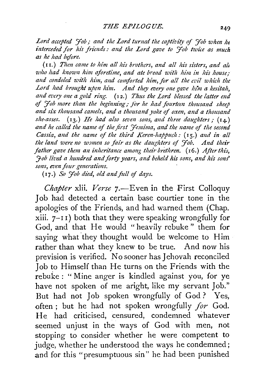Lord accepted '*Hob*; and the Lord turned the captivity of 'Hob when he interceded for his friends: and the Lord gave to *Hob twice as much* as he had before.

(II.) Then came to him all his brothers, and all his sisters, and all who had known him aforetime, and ate bread with him in his house. and condoled with him, and comforted him, for all the evil which the Lord had brought upon him. And they every one gave him a kesitah, and every one a gold ring. (12.) Thus the Lord blessed the latter end of *'Job more than the begtimzizg* / *for he ltad fourtew thousand sheep and six thousand camels, and a thousand yoke* of *oxen, and a thousand she-asses.* (13.) *He had also seven sons, and three daughters*: (14.) and he called the name of the first '*Jemima*, and the name of the second *Cassia, and the name of the third Keren-happuch:* (15.) and in all the land were no women so fair as the daughters of *Fob.* And their *father gave them an inheritance among their brethren.* (16.) *After this,* <sup>7</sup> *Hob lived a hundred and forty years, and beheld his sons, and his sons'*  $sons$ , even four generations.

(17.) So *Fob died, old and full of days.* 

*Chapter* xlii. *Verse* 7.-Even in the First Colloquy Job had detected a certain base courtier tone in the apologies of the Friends, and had warned them (Chap. xiii.  $7-11$ ) both that they were speaking wrongfully for God, and that He would "heavily rebuke" them for saying what they thought would be welcome to Him rather than what they knew to be true. And now his prevision is verified. No sooner has Jehovah reconciled Job to Himself than He turns on the Friends with the rebuke : " Mine anger is kindled against you, for ye have not spoken of me aright, like my servant Job." But had not Job spoken wrongfully of God ? Yes, often ; but he had not spoken wrongfully *for* God. He had criticised, censured, condemned whatever seemed unjust in the ways of God with men, not stopping to consider whether he were competent to judge, whether he understood the ways he condemned; and for this "presumptuous sin" he had been punished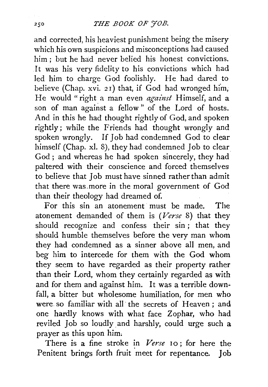and corrected, his heaviest punishment being the misery which his own suspicions and misconceptions had caused him ; but he had never belied his honest convictions. It was his very fidelity to his convictions which had led him to charge God foolishly. He had dared to believe (Chap. xvi. 21) that, if God had wronged him, He would "right a man even *against* Himself, and a son of man against a fellow " of the Lord of hosts. And in this he had thought rightly of God, and spoken rightly; while the Friends had thought wrongly and spoken wrongly. If Job had condemned God to clear himself (Chap. xi. 8), they had condemned Job to clear God ; and whereas he had spoken sincerely, they had paltered with their conscience and forced themselves to believe that Job must have sinned rather than admit that there was. more in the moral government of God than their theology had dreamed of.

For this sin an atonement must be made. The atonement demanded of them is *(Verse* 8) that they should recognize and confess their sin ; that they should humble themselves before the very man whom they had condemned as a sinner above all men, and beg him to intercede for them with the God whom they seem to have regarded as their property rather than their Lord, whom they certainly regarded as with and for them and against him. It was a terrible downfall, a bitter but wholesome humiliation, for men who were. so familiar with all· the secrets of Heaven ; and one hardly knows with what face Zophar, who had reviled Job so loudly and harshly, could urge such a prayer as this upon him.

There is a fine stroke in *Verse* 10; for here the Penitent brings forth fruit meet for repentance. Job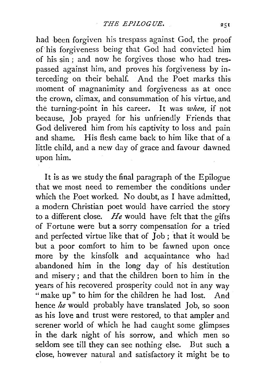had been forgiven his trespass against God, the proof of"his forgiveness being that God had convicted him of his sin; and now he forgives those who had trespassed against him, and proves his forgiveness by interceding on their behalf. And the Poet marks this moment of magnanimity and forgiveness as at once the crown, climax, and consummation of his virtue, and the turning-point in his career. It was *when,* if not because, Job prayed for his unfriendly Friends that God delivered him from his captivity to loss and pain and shame. His flesh came back to him like that of a little child, and a new day of grace and favour dawned upon him.

It is as we study the final paragraph of the Epilogue that we most need to remember the conditions under which the Poet worked. No doubt, as I have admitted, a modern Christian poet would have carried the story to a different close. *He* would have felt that the gifts of Fortune were but a sorry compensation for a tried and perfected virtue like that of Job; that it would be but a poor comfort to him to be fawned upon once more by the kinsfolk and acquaintance who had abandoned him in the long day of his destitution and misery ; and that the children born to him in the years of his recovered prosperity could not in any way " make up" to him for the children he had lost. And hence *he* would probably have translated Job, so soon as his love and trust were restored, to that ampler and serener world of which he had caught some glimpses in the dark night of his sorrow, and which men so seldom see till they can see nothing else. But such a close, however natural and satisfactory it might be to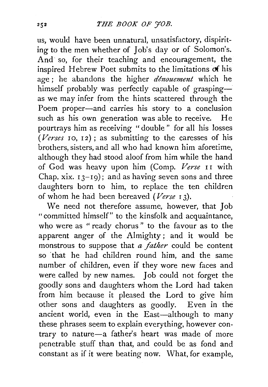us, would have been unnatural, unsatisfactory, dispiriting to the men whether of Job's day or of Solomon's. And so, for their teaching and encouragement, the inspired Hebrew Poet submits to the limitations of his age; he abandons the higher *dénouement* which he himself probably was perfectly capable of graspingas we may infer from the hints scattered through the Poem proper-and carries his story to a conclusion such as his own generation was able to receive. He pourtrays him as receiving "double " for all his losses  $(Verses 10, 12)$ ; as submitting to the caresses of his brothers, sisters, and all who had known him aforetime, although they had stood aloof from him while the hand of God was heavy upon him (Comp. *Verse* I I with Chap. xix.  $13-19$ ; and as having seven sons and three daughters born to him, to replace the ten children of whom he had been bereaved *(Verse* I 3).

We need not therefore assume, however, that Job "committed himself" to the kinsfolk and acquaintance, who were as "ready chorus" to the favour as to the apparent anger of the Almighty ; and it would be monstrous to suppose that *a father* could be content so that he had children round him, and the same number of children, even if they wore new faces and were called by new names. Job could not forget the goodly sons and daughters whom the Lord had taken from him because it pleased the Lord to give him other sons and daughters as goodly. Even in the ancient world, even in the East-although to many these phrases seem to explain everything, however contrary to nature-a father's heart was made of more penetrable stuff than that, and could be as fond and constant as if it were beating now. What, for example,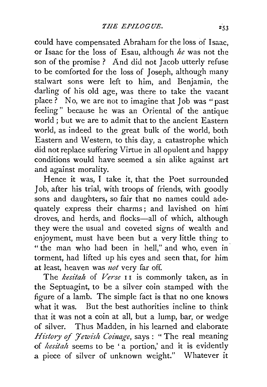could have compensated Abraham for the loss of Isaac, or Isaac for the loss of Esau, although *he* was not the son of the promise? And did not Jacob utterly refuse to be comforted for the loss of Joseph, although many stalwart sons were left to him, and Benjamin, the darling of his old age, was there to take the vacant place ? No, we are not to imagine that Job was "past feeling" because he was an Oriental of the antique world ; but we are to admit that to the ancient Eastern world, as indeed to the great bulk of the world, both Eastern and Western, to this day, a catastrophe which did not replace suffering Virtue in all opulent and happy conditions would have seemed a sin alike against art and against morality.

Hence it was, I take it, that the Poet surrounded Job, after his trial, with troops of friends, with goodly sons and daughters, so fair that no names could adequately express their charms; and lavished on hini droves, and herds, and flocks-all of which, although they were the usual and coveted signs of wealth and enjoyment, must have been but a very little thing to "the man who had been in hell," and who, even in torment, had lifted up his eyes and seen that, for him at least, heaven was not very far off.

The *kesitah* of *Verse* II is commonly taken, as in the Septuagint, to be a silver coin stamped with the figure of a lamb. The simple fact is that no one knows what it was. But the best authorities incline *to* think that it was not a coin at all, but a lump, bar, or wedge of silver. Thus Madden, in his learned and elaborate *History of Jewish Coinage*, says: "The real meaning of *kesitah* seems to be 'a portion,' and it is evidently a piece of silver of unknown weight." Whatever it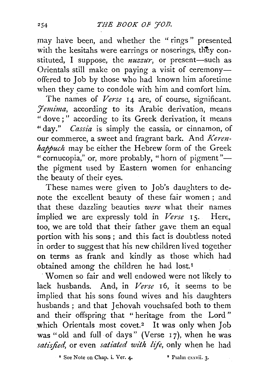may have been, and whether the "rings" presented with the kesitahs were earrings or noserings, they constituted, I suppose, the *nuzzur*, or present-such as Orientals still make on paying a visit of ceremonyoffered to Job by those who had known him aforetime when they came to condole with him and comfort him.

The names of *Verse* 14 are, of course, significant. *J'emima,* according to its Arabic derivation, means " dove;" according to its Greek derivation, it means "day." *Cassia* is simply the cassia, or cinnamon, of our commerce, a sweet and fragrant bark. And *Kerenhappuch* may be either the Hebrew form of the Greek "cornucopia," or, more probably, "horn of pigment"the pigment used by Eastern women for enhancing the beauty of their eyes.

These names were given to Job's daughters to denote the excellent beauty of these fair women ; and that these dazzling beauties *were* what their names implied we are expressly told in *Verse* 15. Here, too, we are told that their father gave them an equal portion with his sons *;* and this fact is doubtless noted in order to suggest that his new children lived together on terms as frank and kindly as those which had obtained among the children he had lost.<sup>1</sup>

-Women so fair and well endowed were not likely to lack husbands. And, in *Verse* 16, it seems to be implied that his sons found wives and his daughters husbands ; and that Jehovah vouchsafed both to them and their offspring that " heritage from the Lord" which Orientals most covet.<sup>2</sup> It was only when Job was "old and full of days" (Verse 17), when he was *satisfied,* or even *satiated with life,* only when he had

<sup>1</sup> See Note on Chap. i. Ver. 4. <sup>2</sup> Psalm cxxvii. 3.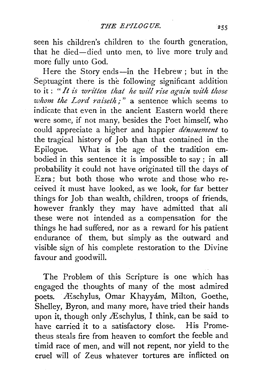seen his children's children to the fourth generation, that he died-died unto men, to live more truly and more fully unto God.

Here the Story ends-in the Hebrew; but in the Septuagint there is the following significant addition to it : *"It is writtm that he will rise again with those whom the Lord raiseth*:" a sentence which seems to indicate that even in the ancient Eastern world there were some, if not many, besides the Poet himself, who could appreciate a higher and happier *denouement* to the tragical history of Job than that contained in the Epilogue. What is the age of the tradition embodied in this sentence it is impossible to say ; in all probability it could not have originated till the days of Ezra; but both those who wrote and those who received it must have looked, as we look, for far better things for Job than wealth, children, troops of friends, however frankly they may have admitted that all these were not intended as a compensation for the things he had suffered, nor as a reward for his patient endurance of them, but simply as the outward and visible sign of his complete restoration to the Divine favour and goodwill.

The Problem of this Scripture is one which has engaged the thoughts of many of the most admired poets. Æschylus, Omar Khayyám, Milton, Goethe, Shelley, Byron, and many more, have tried their hands upon it, though only Æschylus, I think, can be said to have carried it to a satisfactory close. His Prometheus steals fire from heaven to comfort the feeble and timid race of men, and will not repent, nor yield to the cruel will of Zeus whatever tortures are inflicted on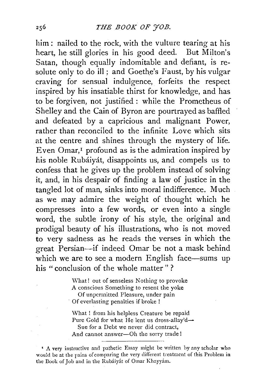him : nailed *to* the rock, with the vulture tearing at his heart, he still glories in his good deed. But Milton's Satan, though equally indomitable and defiant, is resolute only to do ill; and Goethe's Faust, by his vulgar craving for sensual indulgence, forfeits the respect inspired by his insatiable thirst for knowledge, and has *to* be forgiven, not justified : while the Promctheus of Shelley and the Cain of Byron are pourtrayed as baffled and defeated by a capricious and malignant Power, rather than reconciled *to* the infinite Love which sits at the centre and shines through the mystery of life. Even Omar, $<sup>I</sup>$  profound as is the admiration inspired by</sup> his noble Rubaiyat, disappoints us, and compels us *to*  confess that he gives up the problem instead of solving it, and, in his despair of finding a law of justice in the tangled lot of man, sinks into moral indifference. Much as we may admire the weight of thought which he compresses into a few words, or even into a single word, the subtle irony of his style, the original and prodigal beauty of his illustrations, who is not moved *to* very sadness as he reads the verses in which the great Persian-if indeed Omar be not a mask behind which we are to see a modern English face-sums up his "conclusion of the whole matter"?

> What! out of senseless Nothing to provoke A conscious Something to resent the yoke Of unpermitted Pleasure, under pain · Of everlasting penalties if broke !

What ! from his helpless Creature be repaid Pure Gold for what He lent us dross-allay'd-Sue for a Debt we never did contract, And cannot answer-Oh the sorry trade!

<sup>&#</sup>x27; A very instructive and pathetic Essay might be written by any scholar who would be at the pains of comparing the very different treatment of this Problem in the Book of Job and in the Rubáiyát of Omar Khayyám.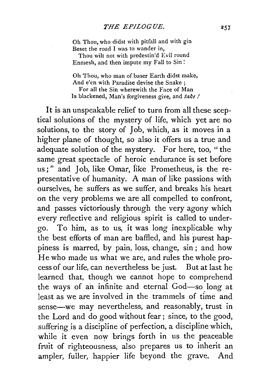Oh Thou, who didst with pitfall and with gin Beset the road I was to wander in, Thou wilt not with predestin'd Evil round

Enmesh, and then impute my Fall to Sin !

Oh Thou, who man of baser Earth didst make, And e'en with Paradise devise the Snake ; For all the Sin wherewith the Face of Man Is blackened, Man's forgiveness give, and *take I* 

It is an unspeakable relief to turn from all these sceptical solutions of the mystery of life, which yet are no solutions, to the story of Job, which, as it moves in a higher plane of thought, so also it offers us a true and adequate solution of the mystery. For here, too, " the same great spectacle of heroic endurance is set before us; " and Job, like Omar, iike Prometheus, is the representative of humanity. A man of like passions with ourselves, he suffers as we suffer, and breaks his heart on the very problems we areal1 compelled to confront, and passes victoriously through the very agony which every reflective and religious spirit is called to undergo. To him, as to us, it was long inexplicable why the best efforts of man are baffled, and his purest happiness is marred, by pain, loss, change, sin ; and how He who made us what we are, and rules the whole process of our life, can nevertheless be just. But at last he learned that, though we cannot hope to comprehend the ways of an infinite and eternal God-so long at least as we are involved in the trammels of time and sense—we may nevertheless, and reasonably, trust in the Lord and do good without fear; since, to the good, suffering is a discipline of perfection, a discipline which, while it even now brings forth in us the peaceable fruit of righteousness, also prepares us to inherit an ampler, fuller, happier life beyond the grave. And